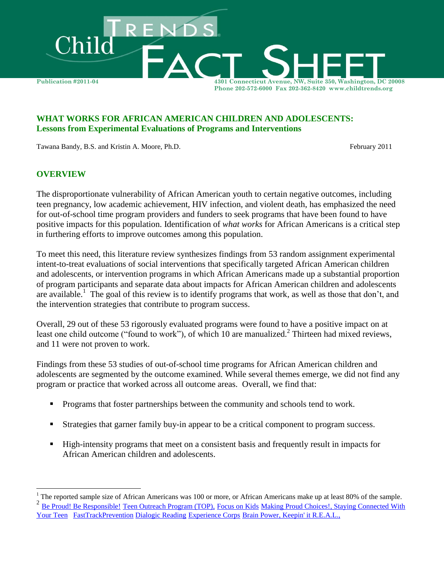

#### **WHAT WORKS FOR AFRICAN AMERICAN CHILDREN AND ADOLESCENTS: Lessons from Experimental Evaluations of Programs and Interventions**

Tawana Bandy, B.S. and Kristin A. Moore, Ph.D. February 2011

#### **OVERVIEW**

 $\overline{a}$ 

The disproportionate vulnerability of African American youth to certain negative outcomes, including teen pregnancy, low academic achievement, HIV infection, and violent death, has emphasized the need for out-of-school time program providers and funders to seek programs that have been found to have positive impacts for this population. Identification of *what works* for African Americans is a critical step in furthering efforts to improve outcomes among this population.

To meet this need, this literature review synthesizes findings from 53 random assignment experimental intent-to-treat evaluations of social interventions that specifically targeted African American children and adolescents, or intervention programs in which African Americans made up a substantial proportion of program participants and separate data about impacts for African American children and adolescents are available.<sup>1</sup> The goal of this review is to identify programs that work, as well as those that don't, and the intervention strategies that contribute to program success.

Overall, 29 out of these 53 rigorously evaluated programs were found to have a positive impact on at least one child outcome ("found to work"), of which 10 are manualized.<sup>2</sup> Thirteen had mixed reviews, and 11 were not proven to work.

Findings from these 53 studies of out-of-school time programs for African American children and adolescents are segmented by the outcome examined. While several themes emerge, we did not find any program or practice that worked across all outcome areas. Overall, we find that:

- **Programs that foster partnerships between the community and schools tend to work.**
- Strategies that garner family buy-in appear to be a critical component to program success.
- High-intensity programs that meet on a consistent basis and frequently result in impacts for African American children and adolescents.

The reported sample size of African Americans was 100 or more, or African Americans make up at least 80% of the sample. 2 [Be Proud! Be Responsible!](http://www.childtrends.org/Lifecourse/programs/BeProud.htm) [Teen Outreach Program \(TOP\),](http://www.childtrends.org/Lifecourse/programs/TeenOutreachProgram.htm) [Focus on Kids](http://www.childtrends.org/Lifecourse/programs/focus.htm) [Making Proud Choices!,](http://www.childtrends.org/Lifecourse/programs/MakingProudChoices.htm) [Staying Connected With](http://www.childtrends.org/Lifecourse/programs/staying.htm)  [Your Teen](http://www.childtrends.org/Lifecourse/programs/staying.htm) [FastTrackPrevention](http://www.childtrends.org/Lifecourse/programs/FastTrackPrevention.htm) [Dialogic Reading](http://www.childtrends.org/Lifecourse/programs/dialog.htm) [Experience Corps](http://www.childtrends.org/Lifecourse/programs/ExperienceCorps.htm) [Brain Power,](http://www.childtrends.org/Lifecourse/programs/brainpower.htm) [Keepin' it R.E.A.L.,](http://www.childtrends.org/Lifecourse/programs/KeepinItREAL.htm)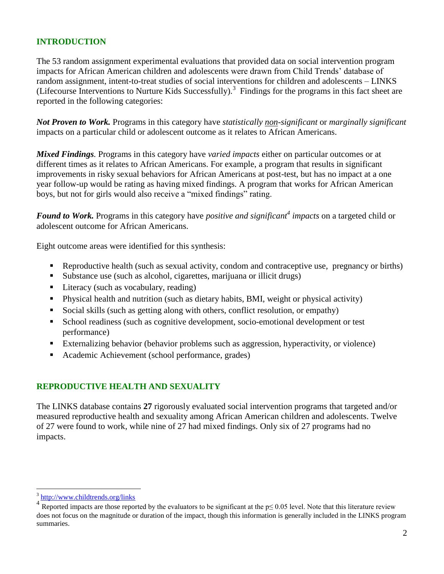## **INTRODUCTION**

The 53 random assignment experimental evaluations that provided data on social intervention program impacts for African American children and adolescents were drawn from Child Trends' database of random assignment, intent-to-treat studies of social interventions for children and adolescents – LINKS (Lifecourse Interventions to Nurture Kids Successfully).<sup>3</sup> Findings for the programs in this fact sheet are reported in the following categories:

*Not Proven to Work.* Programs in this category have *statistically non-significant* or *marginally significant*  impacts on a particular child or adolescent outcome as it relates to African Americans.

*Mixed Findings.* Programs in this category have *varied impacts* either on particular outcomes or at different times as it relates to African Americans. For example, a program that results in significant improvements in risky sexual behaviors for African Americans at post-test, but has no impact at a one year follow-up would be rating as having mixed findings. A program that works for African American boys, but not for girls would also receive a "mixed findings" rating.

*Found to Work.* Programs in this category have *positive and significant<sup>4</sup> impacts* on a targeted child or adolescent outcome for African Americans.

Eight outcome areas were identified for this synthesis:

- Reproductive health (such as sexual activity, condom and contraceptive use, pregnancy or births)
- Substance use (such as alcohol, cigarettes, marijuana or illicit drugs)
- Literacy (such as vocabulary, reading)
- Physical health and nutrition (such as dietary habits, BMI, weight or physical activity)
- Social skills (such as getting along with others, conflict resolution, or empathy)
- School readiness (such as cognitive development, socio-emotional development or test performance)
- Externalizing behavior (behavior problems such as aggression, hyperactivity, or violence)
- Academic Achievement (school performance, grades)

### **REPRODUCTIVE HEALTH AND SEXUALITY**

The LINKS database contains **27** rigorously evaluated social intervention programs that targeted and/or measured reproductive health and sexuality among African American children and adolescents. Twelve of 27 were found to work, while nine of 27 had mixed findings. Only six of 27 programs had no impacts.

<sup>3</sup> <http://www.childtrends.org/links>

<sup>4</sup> Reported impacts are those reported by the evaluators to be significant at the  $p \le 0.05$  level. Note that this literature review does not focus on the magnitude or duration of the impact, though this information is generally included in the LINKS program summaries.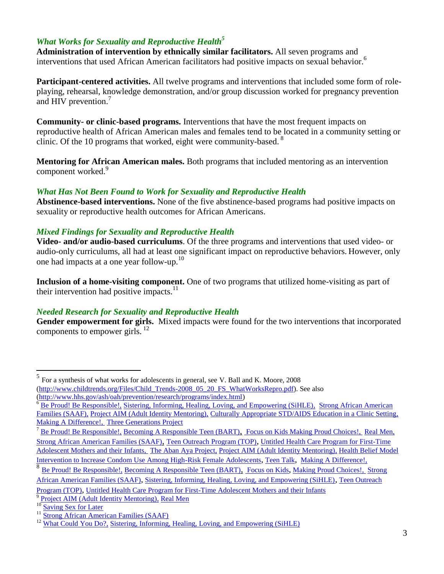### *What Works for Sexuality and Reproductive Health<sup>5</sup>*

**Administration of intervention by ethnically similar facilitators.** All seven programs and interventions that used African American facilitators had positive impacts on sexual behavior.<sup>6</sup>

**Participant-centered activities.** All twelve programs and interventions that included some form of roleplaying, rehearsal, knowledge demonstration, and/or group discussion worked for pregnancy prevention and HIV prevention.<sup>7</sup>

**Community- or clinic-based programs.** Interventions that have the most frequent impacts on reproductive health of African American males and females tend to be located in a community setting or clinic. Of the 10 programs that worked, eight were community-based. <sup>8</sup>

**Mentoring for African American males.** Both programs that included mentoring as an intervention component worked.<sup>9</sup>

#### *What Has Not Been Found to Work for Sexuality and Reproductive Health*

**Abstinence-based interventions.** None of the five abstinence-based programs had positive impacts on sexuality or reproductive health outcomes for African Americans.

#### *Mixed Findings for Sexuality and Reproductive Health*

**Video- and/or audio-based curriculums**. Of the three programs and interventions that used video- or audio-only curriculums, all had at least one significant impact on reproductive behaviors. However, only one had impacts at a one year follow-up. 10

**Inclusion of a home-visiting component.** One of two programs that utilized home-visiting as part of their intervention had positive impacts. $^{11}$ 

### *Needed Research for Sexuality and Reproductive Health*

**Gender empowerment for girls.** Mixed impacts were found for the two interventions that incorporated components to empower girls.<sup>12</sup>

<sup>&</sup>lt;sup>5</sup> For a synthesis of what works for adolescents in general, see V. Ball and K. Moore, 2008 [\(http://www.childtrends.org/Files/Child\\_Trends-2008\\_05\\_20\\_FS\\_WhatWorksRepro.pdf\)](http://www.childtrends.org/Files/Child_Trends-2008_05_20_FS_WhatWorksRepro.pdf). See also [\(http://www.hhs.gov/ash/oah/prevention/research/programs/index.html\)](http://www.hhs.gov/ash/oah/prevention/research/programs/index.html)

<sup>6</sup> [Be Proud! Be Responsible!,](http://www.childtrends.org/Lifecourse/programs/BeProud.htm) [Sistering, Informing, Healing, Loving, and Empowering \(SiHLE\),](http://www.childtrends.org/Lifecourse/programs/sihle.htm) [Strong African American](http://www.childtrends.org/Lifecourse/programs/saaf.htm)  [Families \(SAAF\),](http://www.childtrends.org/Lifecourse/programs/saaf.htm) Project AIM (Adult Identity Mentoring), [Culturally Appropriate STD/AIDS Education in a Clinic Setting,](http://www.childtrends.org/Lifecourse/programs/culture.htm) [Making A Difference!,](http://www.childtrends.org/Lifecourse/programs/MakingDifference.htm) [Three Generations Project](http://www.childtrends.org/Lifecourse/programs/threegen.htm)

<sup>7</sup> [Be Proud! Be Responsible!,](http://www.childtrends.org/Lifecourse/programs/BeProud.htm) [Becoming A Responsible Teen \(BART\)](http://www.childtrends.org/Lifecourse/programs/BART.htm), [Focus on Kids](http://www.childtrends.org/Lifecourse/programs/focus.htm) [Making Proud Choices!,](http://www.childtrends.org/Lifecourse/programs/MakingProudChoices.htm) [Real Men,](http://www.childtrends.org/Lifecourse/programs/real.htm) [Strong African American Families \(SAAF\)](http://www.childtrends.org/Lifecourse/programs/saaf.htm), [Teen Outreach Program \(TOP\)](http://www.childtrends.org/Lifecourse/programs/TeenOutreachProgram.htm), [Untitled Health Care Program for First-Time](http://www.childtrends.org/Lifecourse/programs/UntitledHealthCareAdolescentMothers.htm)  [Adolescent Mothers and their Infants,](http://www.childtrends.org/Lifecourse/programs/UntitledHealthCareAdolescentMothers.htm) The Aban Aya Project, Project AIM (Adult Identity Mentoring), Health Belief Model [Intervention to Increase Condom Use Among High-Risk Female Adolescents](http://www.childtrends.org/Lifecourse/programs/HealthBelief.htm), [Teen Talk](http://www.childtrends.org/Lifecourse/programs/TeenTalk.htm), [Making A Difference!,](http://www.childtrends.org/Lifecourse/programs/MakingDifference.htm)

<sup>8</sup> [Be Proud! Be Responsible!,](http://www.childtrends.org/Lifecourse/programs/BeProud.htm) [Becoming A Responsible Teen \(BART\)](http://www.childtrends.org/Lifecourse/programs/BART.htm), [Focus on Kids](http://www.childtrends.org/Lifecourse/programs/focus.htm), [Making Proud Choices!,](http://www.childtrends.org/Lifecourse/programs/MakingProudChoices.htm) [Strong](http://www.childtrends.org/Lifecourse/programs/saaf.htm)  [African American Families \(SAAF\)](http://www.childtrends.org/Lifecourse/programs/saaf.htm), [Sistering, Informing, Healing, Loving, and Empowering \(SiHLE\)](http://www.childtrends.org/Lifecourse/programs/sihle.htm), [Teen Outreach](http://www.childtrends.org/Lifecourse/programs/TeenOutreachProgram.htm) 

[Program \(TOP\)](http://www.childtrends.org/Lifecourse/programs/TeenOutreachProgram.htm), Untitled Health Care Program for First-Time Adolescent Mothers and their Infants

<sup>9</sup> Project AIM (Adult Identity Mentoring), [Real Men](http://www.childtrends.org/Lifecourse/programs/real.htm)

<sup>&</sup>lt;sup>10</sup> [Saving Sex for Later](http://www.childtrends.org/Lifecourse/programs/SavingSexforLater.htm)

<sup>&</sup>lt;sup>11</sup> [Strong African American Families \(SAAF\)](http://www.childtrends.org/Lifecourse/programs/saaf.htm)

 $^{12}$  [What Could You Do?,](http://www.childtrends.org/Lifecourse/programs/what.htm) [Sistering, Informing, Healing, Loving, and Empowering \(SiHLE\)](http://www.childtrends.org/Lifecourse/programs/sihle.htm)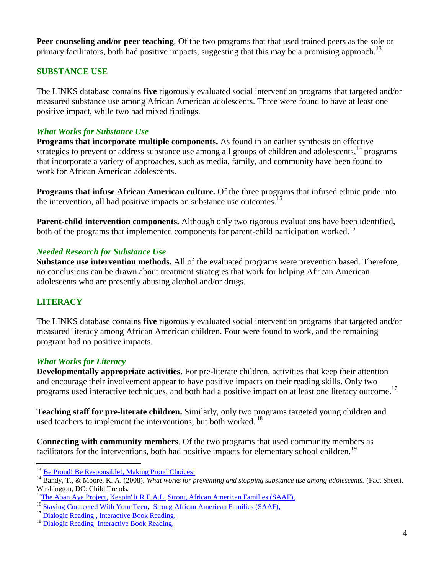**Peer counseling and/or peer teaching**. Of the two programs that that used trained peers as the sole or primary facilitators, both had positive impacts, suggesting that this may be a promising approach.<sup>13</sup>

# **SUBSTANCE USE**

The LINKS database contains **five** rigorously evaluated social intervention programs that targeted and/or measured substance use among African American adolescents. Three were found to have at least one positive impact, while two had mixed findings.

### *What Works for Substance Use*

**Programs that incorporate multiple components.** As found in an earlier synthesis on effective strategies to prevent or address substance use among all groups of children and adolescents,<sup>14</sup> programs that incorporate a variety of approaches, such as media, family, and community have been found to work for African American adolescents.

**Programs that infuse African American culture.** Of the three programs that infused ethnic pride into the intervention, all had positive impacts on substance use outcomes.<sup>15</sup>

**Parent-child intervention components.** Although only two rigorous evaluations have been identified, both of the programs that implemented components for parent-child participation worked.<sup>16</sup>

### *Needed Research for Substance Use*

**Substance use intervention methods.** All of the evaluated programs were prevention based. Therefore, no conclusions can be drawn about treatment strategies that work for helping African American adolescents who are presently abusing alcohol and/or drugs.

# **LITERACY**

 $\overline{a}$ 

The LINKS database contains **five** rigorously evaluated social intervention programs that targeted and/or measured literacy among African American children. Four were found to work, and the remaining program had no positive impacts.

### *What Works for Literacy*

**Developmentally appropriate activities.** For pre-literate children, activities that keep their attention and encourage their involvement appear to have positive impacts on their reading skills. Only two programs used interactive techniques, and both had a positive impact on at least one literacy outcome.<sup>17</sup>

**Teaching staff for pre-literate children.** Similarly, only two programs targeted young children and used teachers to implement the interventions, but both worked.<sup>18</sup>

**Connecting with community members**. Of the two programs that used community members as facilitators for the interventions, both had positive impacts for elementary school children.<sup>19</sup>

<sup>&</sup>lt;sup>13</sup> [Be Proud! Be Responsible!,](http://www.childtrends.org/Lifecourse/programs/BeProud.htm) [Making Proud Choices!](http://www.childtrends.org/Lifecourse/programs/MakingProudChoices.htm)

<sup>&</sup>lt;sup>14</sup> Bandy, T., & Moore, K. A. (2008). *What works for preventing and stopping substance use among adolescents.* (Fact Sheet). Washington, DC: Child Trends.

<sup>&</sup>lt;sup>15</sup>The Aban Aya Project, [Keepin' it R.E.A.L.](http://www.childtrends.org/Lifecourse/programs/KeepinItREAL.htm) [Strong African American Families \(SAAF\),](http://www.childtrends.org/Lifecourse/programs/saaf.htm)

<sup>&</sup>lt;sup>16</sup> [Staying Connected With Your Teen](http://www.childtrends.org/Lifecourse/programs/staying.htm), [Strong African American Families \(SAAF\),](http://www.childtrends.org/Lifecourse/programs/saaf.htm)

<sup>&</sup>lt;sup>17</sup> [Dialogic Reading](http://www.childtrends.org/Lifecourse/programs/dialog.htm), [Interactive Book Reading,](http://www.childtrends.org/Lifecourse/programs/Interactive.htm)

<sup>&</sup>lt;sup>18</sup> [Dialogic Reading](http://www.childtrends.org/Lifecourse/programs/dialog.htm) [Interactive Book Reading,](http://www.childtrends.org/Lifecourse/programs/Interactive.htm)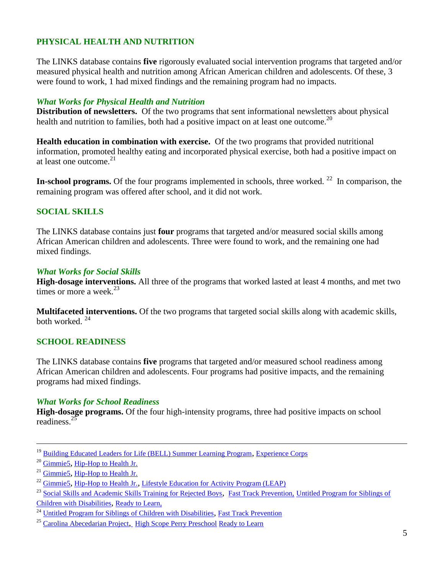# **PHYSICAL HEALTH AND NUTRITION**

The LINKS database contains **five** rigorously evaluated social intervention programs that targeted and/or measured physical health and nutrition among African American children and adolescents. Of these, 3 were found to work, 1 had mixed findings and the remaining program had no impacts.

### *What Works for Physical Health and Nutrition*

**Distribution of newsletters.** Of the two programs that sent informational newsletters about physical health and nutrition to families, both had a positive impact on at least one outcome.<sup>20</sup>

**Health education in combination with exercise.** Of the two programs that provided nutritional information, promoted healthy eating and incorporated physical exercise, both had a positive impact on at least one outcome. 21

In-school programs. Of the four programs implemented in schools, three worked.<sup>22</sup> In comparison, the remaining program was offered after school, and it did not work.

# **SOCIAL SKILLS**

The LINKS database contains just **four** programs that targeted and/or measured social skills among African American children and adolescents. Three were found to work, and the remaining one had mixed findings.

### *What Works for Social Skills*

**High-dosage interventions.** All three of the programs that worked lasted at least 4 months, and met two times or more a week. $23$ 

**Multifaceted interventions.** Of the two programs that targeted social skills along with academic skills, both worked.  $24$ 

# **SCHOOL READINESS**

The LINKS database contains **five** programs that targeted and/or measured school readiness among African American children and adolescents. Four programs had positive impacts, and the remaining programs had mixed findings.

### *What Works for School Readiness*

**High-dosage programs.** Of the four high-intensity programs, three had positive impacts on school readiness.<sup>25</sup>

<sup>&</sup>lt;sup>19</sup> [Building Educated Leaders for Life \(BELL\) Summer Learning Program](http://www.childtrends.org/Lifecourse/programs/bell2.htm), [Experience Corps](http://www.childtrends.org/Lifecourse/programs/ExperienceCorps.htm)

<sup>20</sup> [Gimmie5](http://www.childtrends.org/Lifecourse/programs/Gimmie5-HS.htm), [Hip-Hop to Health Jr.](http://www.childtrends.org/Lifecourse/programs/hiphop.htm)

<sup>&</sup>lt;sup>21</sup> Gimmie<sub>5</sub>, [Hip-Hop to Health Jr.](http://www.childtrends.org/Lifecourse/programs/hiphop.htm)

 $^{22}$  [Gimmie5](http://www.childtrends.org/Lifecourse/programs/Gimmie5-HS.htm), [Hip-Hop to Health Jr.](http://www.childtrends.org/Lifecourse/programs/hiphop.htm), [Lifestyle Education for Activity Program \(LEAP\)](http://www.childtrends.org/Lifecourse/programs/leap.htm)

<sup>&</sup>lt;sup>23</sup> [Social Skills and Academic Skills Training for Rejected Boys](http://www.childtrends.org/Lifecourse/programs/SocialAcademicTraining.htm), [Fast Track Prevention,](http://www.childtrends.org/Lifecourse/programs/FastTrackPrevention.htm) Untitled Program for Siblings of [Children with Disabilities](http://www.childtrends.org/Lifecourse/programs/UntitledProgramForSiblingsOfChildrenWithDisabilities.htm), [Ready to Learn,](http://www.childtrends.org/Lifecourse/programs/Ready.htm)

<sup>&</sup>lt;sup>24</sup> [Untitled Program for Siblings of Children with Disabilities](http://www.childtrends.org/Lifecourse/programs/UntitledProgramForSiblingsOfChildrenWithDisabilities.htm), Fast Track Prevention

<sup>&</sup>lt;sup>25</sup> [Carolina Abecedarian Project](http://www.childtrends.org/Lifecourse/programs/CarolinaAbecedarianProgram.htm), High Scope Perry Preschool [Ready to Learn](http://www.childtrends.org/Lifecourse/programs/Ready.htm)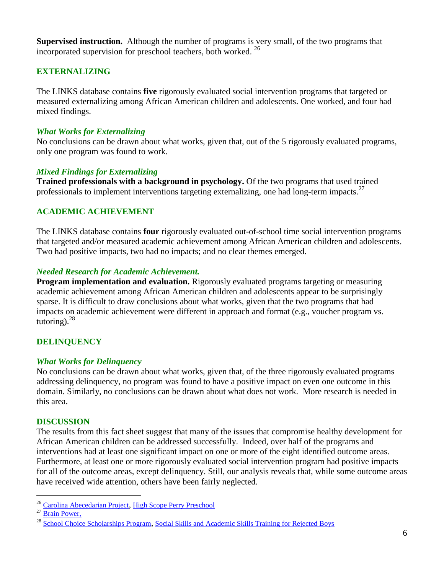**Supervised instruction.** Although the number of programs is very small, of the two programs that incorporated supervision for preschool teachers, both worked.<sup>26</sup>

# **EXTERNALIZING**

The LINKS database contains **five** rigorously evaluated social intervention programs that targeted or measured externalizing among African American children and adolescents. One worked, and four had mixed findings.

### *What Works for Externalizing*

No conclusions can be drawn about what works, given that, out of the 5 rigorously evaluated programs, only one program was found to work.

### *Mixed Findings for Externalizing*

**Trained professionals with a background in psychology.** Of the two programs that used trained professionals to implement interventions targeting externalizing, one had long-term impacts.<sup>27</sup>

# **ACADEMIC ACHIEVEMENT**

The LINKS database contains **four** rigorously evaluated out-of-school time social intervention programs that targeted and/or measured academic achievement among African American children and adolescents. Two had positive impacts, two had no impacts; and no clear themes emerged.

### *Needed Research for Academic Achievement.*

**Program implementation and evaluation.** Rigorously evaluated programs targeting or measuring academic achievement among African American children and adolescents appear to be surprisingly sparse. It is difficult to draw conclusions about what works, given that the two programs that had impacts on academic achievement were different in approach and format (e.g., voucher program vs. tutoring). $28$ 

# **DELINQUENCY**

### *What Works for Delinquency*

No conclusions can be drawn about what works, given that, of the three rigorously evaluated programs addressing delinquency, no program was found to have a positive impact on even one outcome in this domain. Similarly, no conclusions can be drawn about what does not work. More research is needed in this area.

### **DISCUSSION**

The results from this fact sheet suggest that many of the issues that compromise healthy development for African American children can be addressed successfully. Indeed, over half of the programs and interventions had at least one significant impact on one or more of the eight identified outcome areas. Furthermore, at least one or more rigorously evaluated social intervention program had positive impacts for all of the outcome areas, except delinquency. Still, our analysis reveals that, while some outcome areas have received wide attention, others have been fairly neglected.

<sup>&</sup>lt;sup>26</sup> [Carolina Abecedarian Project](http://www.childtrends.org/Lifecourse/programs/CarolinaAbecedarianProgram.htm), High Scope Perry Preschool

<sup>&</sup>lt;sup>27</sup> [Brain Power,](http://www.childtrends.org/Lifecourse/programs/brainpower.htm)

<sup>&</sup>lt;sup>28</sup> [School Choice Scholarships Program](http://www.childtrends.org/Lifecourse/programs/school.htm), [Social Skills and Academic Skills Training for Rejected Boys](http://www.childtrends.org/Lifecourse/programs/SocialAcademicTraining.htm)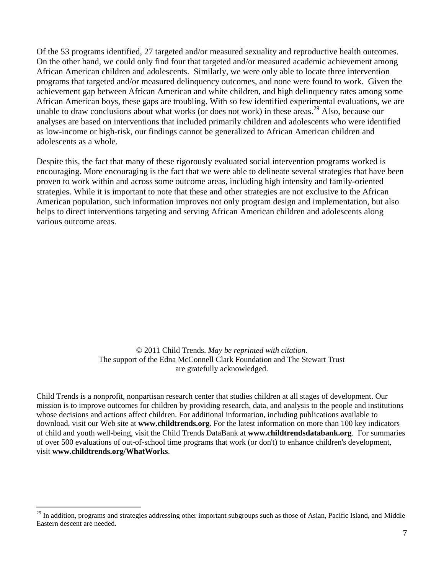Of the 53 programs identified, 27 targeted and/or measured sexuality and reproductive health outcomes. On the other hand, we could only find four that targeted and/or measured academic achievement among African American children and adolescents. Similarly, we were only able to locate three intervention programs that targeted and/or measured delinquency outcomes, and none were found to work. Given the achievement gap between African American and white children, and high delinquency rates among some African American boys, these gaps are troubling. With so few identified experimental evaluations, we are unable to draw conclusions about what works (or does not work) in these areas.<sup>29</sup> Also, because our analyses are based on interventions that included primarily children and adolescents who were identified as low-income or high-risk, our findings cannot be generalized to African American children and adolescents as a whole.

Despite this, the fact that many of these rigorously evaluated social intervention programs worked is encouraging. More encouraging is the fact that we were able to delineate several strategies that have been proven to work within and across some outcome areas, including high intensity and family-oriented strategies. While it is important to note that these and other strategies are not exclusive to the African American population, such information improves not only program design and implementation, but also helps to direct interventions targeting and serving African American children and adolescents along various outcome areas.

> © 2011 Child Trends. *May be reprinted with citation.* The support of the Edna McConnell Clark Foundation and The Stewart Trust are gratefully acknowledged.

Child Trends is a nonprofit, nonpartisan research center that studies children at all stages of development. Our mission is to improve outcomes for children by providing research, data, and analysis to the people and institutions whose decisions and actions affect children. For additional information, including publications available to download, visit our Web site at **www.childtrends.org**. For the latest information on more than 100 key indicators of child and youth well-being, visit the Child Trends DataBank at **www.childtrendsdatabank.org**. For summaries of over 500 evaluations of out-of-school time programs that work (or don't) to enhance children's development, visit **www.childtrends.org/WhatWorks**.

<sup>&</sup>lt;sup>29</sup> In addition, programs and strategies addressing other important subgroups such as those of Asian, Pacific Island, and Middle Eastern descent are needed.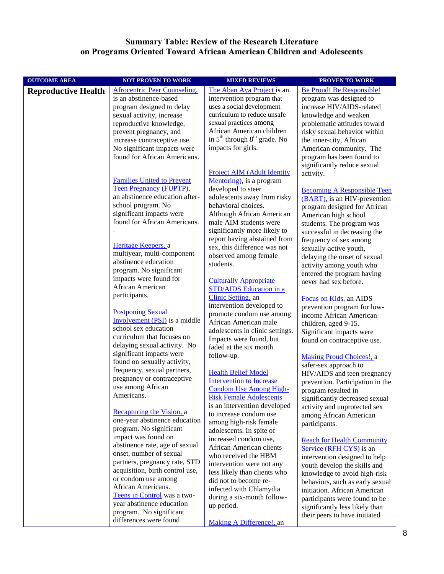#### **Summary Table: Review of the Research Literature on Programs Oriented Toward African American Children and Adolescents**

| <b>OUTCOME AREA</b>        | <b>NOT PROVEN TO WORK</b>                                  | <b>MIXED REVIEWS</b>                                           | <b>PROVEN TO WORK</b>                                              |
|----------------------------|------------------------------------------------------------|----------------------------------------------------------------|--------------------------------------------------------------------|
| <b>Reproductive Health</b> | <b>Afrocentric Peer Counseling,</b>                        | The Aban Aya Project is an                                     | Be Proud! Be Responsible!                                          |
|                            | is an abstinence-based                                     | intervention program that                                      | program was designed to                                            |
|                            | program designed to delay                                  | uses a social development                                      | increase HIV/AIDS-related                                          |
|                            | sexual activity, increase                                  | curriculum to reduce unsafe                                    | knowledge and weaken                                               |
|                            | reproductive knowledge,                                    | sexual practices among                                         | problematic attitudes toward                                       |
|                            | prevent pregnancy, and                                     | African American children                                      | risky sexual behavior within                                       |
|                            | increase contraceptive use.                                | in $5th$ through $8th$ grade. No                               | the inner-city, African                                            |
|                            | No significant impacts were                                | impacts for girls.                                             | American community. The                                            |
|                            | found for African Americans.                               |                                                                | program has been found to                                          |
|                            |                                                            |                                                                | significantly reduce sexual                                        |
|                            | <b>Families United to Prevent</b>                          | <b>Project AIM (Adult Identity</b><br>Mentoring), is a program | activity.                                                          |
|                            | <b>Teen Pregnancy (FUPTP),</b>                             | developed to steer                                             |                                                                    |
|                            | an abstinence education after-                             | adolescents away from risky                                    | <b>Becoming A Responsible Teen</b><br>(BART), is an HIV-prevention |
|                            | school program. No                                         | behavioral choices.                                            | program designed for African                                       |
|                            | significant impacts were                                   | Although African American                                      | American high school                                               |
|                            | found for African Americans.                               | male AIM students were                                         | students. The program was                                          |
|                            |                                                            | significantly more likely to                                   | successful in decreasing the                                       |
|                            |                                                            | report having abstained from                                   | frequency of sex among                                             |
|                            | Heritage Keepers, a                                        | sex, this difference was not                                   | sexually-active youth,                                             |
|                            | multiyear, multi-component                                 | observed among female                                          | delaying the onset of sexual                                       |
|                            | abstinence education                                       | students.                                                      | activity among youth who                                           |
|                            | program. No significant                                    |                                                                | entered the program having                                         |
|                            | impacts were found for<br>African American                 | <b>Culturally Appropriate</b>                                  | never had sex before.                                              |
|                            | participants.                                              | STD/AIDS Education in a                                        |                                                                    |
|                            |                                                            | Clinic Setting, an                                             | Focus on Kids, an AIDS                                             |
|                            | Postponing Sexual                                          | intervention developed to                                      | prevention program for low-                                        |
|                            | Involvement (PSI) is a middle                              | promote condom use among<br>African American male              | income African American                                            |
|                            | school sex education                                       | adolescents in clinic settings.                                | children, aged 9-15.                                               |
|                            | curriculum that focuses on                                 | Impacts were found, but                                        | Significant impacts were<br>found on contraceptive use.            |
|                            | delaying sexual activity. No                               | faded at the six month                                         |                                                                    |
|                            | significant impacts were                                   | follow-up.                                                     | Making Proud Choices!, a                                           |
|                            | found on sexually activity,                                |                                                                | safer-sex approach to                                              |
|                            | frequency, sexual partners,                                | <b>Health Belief Model</b>                                     | HIV/AIDS and teen pregnancy                                        |
|                            | pregnancy or contraceptive                                 | <b>Intervention</b> to Increase                                | prevention. Participation in the                                   |
|                            | use among African                                          | <b>Condom Use Among High-</b>                                  | program resulted in                                                |
|                            | Americans.                                                 | <b>Risk Female Adolescents</b>                                 | significantly decreased sexual                                     |
|                            |                                                            | is an intervention developed                                   | activity and unprotected sex                                       |
|                            | Recapturing the Vision, a<br>one-year abstinence education | to increase condom use                                         | among African American                                             |
|                            | program. No significant                                    | among high-risk female                                         | participants.                                                      |
|                            | impact was found on                                        | adolescents. In spite of<br>increased condom use,              |                                                                    |
|                            | abstinence rate, age of sexual                             | African American clients                                       | <b>Reach for Health Community</b>                                  |
|                            | onset, number of sexual                                    | who received the HBM                                           | Service (RFH CYS) is an<br>intervention designed to help           |
|                            | partners, pregnancy rate, STD                              | intervention were not any                                      | youth develop the skills and                                       |
|                            | acquisition, birth control use,                            | less likely than clients who                                   | knowledge to avoid high-risk                                       |
|                            | or condom use among                                        | did not to become re-                                          | behaviors, such as early sexual                                    |
|                            | African Americans.                                         | infected with Chlamydia                                        | initiation. African American                                       |
|                            | Teens in Control was a two-                                | during a six-month follow-                                     | participants were found to be                                      |
|                            | year abstinence education                                  | up period.                                                     | significantly less likely than                                     |
|                            | program. No significant                                    |                                                                | their peers to have initiated                                      |
|                            | differences were found                                     | Making A Difference!, an                                       |                                                                    |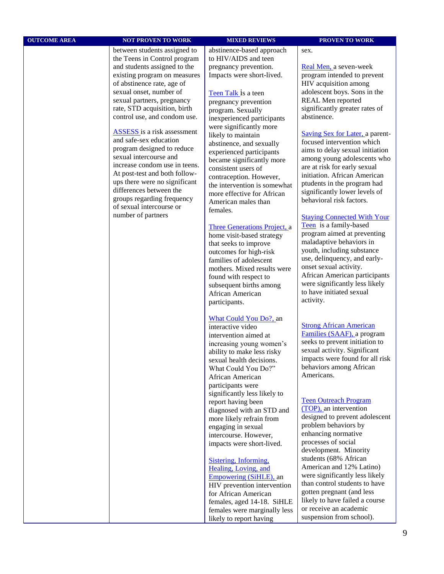| <b>OUTCOME AREA</b> | <b>NOT PROVEN TO WORK</b>                                                                                                                                                                                                                                                                                                                                                                                                                                                                                                                                                                                                 | <b>MIXED REVIEWS</b>                                                                                                                                                                                                                                                                                                                                                                                                                                                                                                                                                                                                                                                                                                                                | <b>PROVEN TO WORK</b>                                                                                                                                                                                                                                                                                                                                                                                                                                                                                                                                                                                                                                                                                                                                                                                         |
|---------------------|---------------------------------------------------------------------------------------------------------------------------------------------------------------------------------------------------------------------------------------------------------------------------------------------------------------------------------------------------------------------------------------------------------------------------------------------------------------------------------------------------------------------------------------------------------------------------------------------------------------------------|-----------------------------------------------------------------------------------------------------------------------------------------------------------------------------------------------------------------------------------------------------------------------------------------------------------------------------------------------------------------------------------------------------------------------------------------------------------------------------------------------------------------------------------------------------------------------------------------------------------------------------------------------------------------------------------------------------------------------------------------------------|---------------------------------------------------------------------------------------------------------------------------------------------------------------------------------------------------------------------------------------------------------------------------------------------------------------------------------------------------------------------------------------------------------------------------------------------------------------------------------------------------------------------------------------------------------------------------------------------------------------------------------------------------------------------------------------------------------------------------------------------------------------------------------------------------------------|
|                     | between students assigned to<br>the Teens in Control program<br>and students assigned to the<br>existing program on measures<br>of abstinence rate, age of<br>sexual onset, number of<br>sexual partners, pregnancy<br>rate, STD acquisition, birth<br>control use, and condom use.<br><b>ASSESS</b> is a risk assessment<br>and safe-sex education<br>program designed to reduce<br>sexual intercourse and<br>increase condom use in teens.<br>At post-test and both follow-<br>ups there were no significant<br>differences between the<br>groups regarding frequency<br>of sexual intercourse or<br>number of partners | abstinence-based approach<br>to HIV/AIDS and teen<br>pregnancy prevention.<br>Impacts were short-lived.<br>Teen Talk is a teen<br>pregnancy prevention<br>program. Sexually<br>inexperienced participants<br>were significantly more<br>likely to maintain<br>abstinence, and sexually<br>experienced participants<br>became significantly more<br>consistent users of<br>contraception. However,<br>the intervention is somewhat<br>more effective for African<br>American males than<br>females.<br>Three Generations Project, a<br>home visit-based strategy<br>that seeks to improve<br>outcomes for high-risk<br>families of adolescent<br>mothers. Mixed results were<br>found with respect to<br>subsequent births among<br>African American | sex.<br>Real Men, a seven-week<br>program intended to prevent<br>HIV acquisition among<br>adolescent boys. Sons in the<br>REAL Men reported<br>significantly greater rates of<br>abstinence.<br>Saving Sex for Later, a parent-<br>focused intervention which<br>aims to delay sexual initiation<br>among young adolescents who<br>are at risk for early sexual<br>initiation. African American<br>ptudents in the program had<br>significantly lower levels of<br>behavioral risk factors.<br><b>Staying Connected With Your</b><br>Teen is a family-based<br>program aimed at preventing<br>maladaptive behaviors in<br>youth, including substance<br>use, delinquency, and early-<br>onset sexual activity.<br>African American participants<br>were significantly less likely<br>to have initiated sexual |
|                     |                                                                                                                                                                                                                                                                                                                                                                                                                                                                                                                                                                                                                           | participants.<br>What Could You Do?, an<br>interactive video<br>intervention aimed at<br>increasing young women's<br>ability to make less risky<br>sexual health decisions.<br>What Could You Do?"<br>African American<br>participants were<br>significantly less likely to<br>report having been<br>diagnosed with an STD and<br>more likely refrain from<br>engaging in sexual<br>intercourse. However,<br>impacts were short-lived.<br>Sistering, Informing,<br>Healing, Loving, and<br>Empowering (SiHLE), an<br>HIV prevention intervention<br>for African American<br>females, aged 14-18. SiHLE<br>females were marginally less<br>likely to report having                                                                                   | activity.<br><b>Strong African American</b><br>Families (SAAF), a program<br>seeks to prevent initiation to<br>sexual activity. Significant<br>impacts were found for all risk<br>behaviors among African<br>Americans.<br><b>Teen Outreach Program</b><br>(TOP), an intervention<br>designed to prevent adolescent<br>problem behaviors by<br>enhancing normative<br>processes of social<br>development. Minority<br>students (68% African<br>American and 12% Latino)<br>were significantly less likely<br>than control students to have<br>gotten pregnant (and less<br>likely to have failed a course<br>or receive an academic<br>suspension from school).                                                                                                                                               |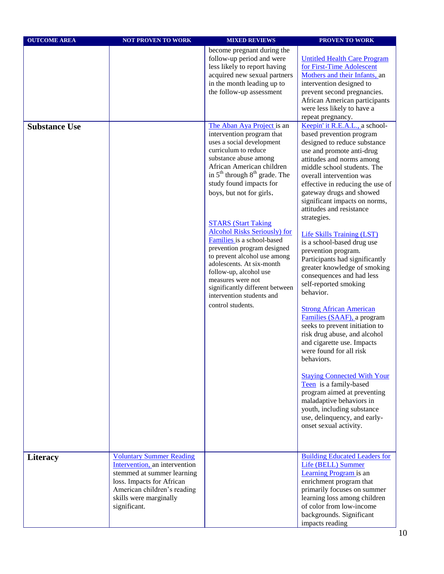| <b>OUTCOME AREA</b>  | <b>NOT PROVEN TO WORK</b>                                                                                                                                                                            | <b>MIXED REVIEWS</b>                                                                                                                                                                                                                                                                                                                                                                                                        | PROVEN TO WORK                                                                                                                                                                                                                                                                                                                                                                                                                                                                                                                                                                                                                                                               |
|----------------------|------------------------------------------------------------------------------------------------------------------------------------------------------------------------------------------------------|-----------------------------------------------------------------------------------------------------------------------------------------------------------------------------------------------------------------------------------------------------------------------------------------------------------------------------------------------------------------------------------------------------------------------------|------------------------------------------------------------------------------------------------------------------------------------------------------------------------------------------------------------------------------------------------------------------------------------------------------------------------------------------------------------------------------------------------------------------------------------------------------------------------------------------------------------------------------------------------------------------------------------------------------------------------------------------------------------------------------|
| <b>Substance Use</b> |                                                                                                                                                                                                      | become pregnant during the<br>follow-up period and were<br>less likely to report having<br>acquired new sexual partners<br>in the month leading up to<br>the follow-up assessment<br>The Aban Aya Project is an<br>intervention program that<br>uses a social development<br>curriculum to reduce<br>substance abuse among<br>African American children                                                                     | <b>Untitled Health Care Program</b><br>for First-Time Adolescent<br>Mothers and their Infants, an<br>intervention designed to<br>prevent second pregnancies.<br>African American participants<br>were less likely to have a<br>repeat pregnancy.<br>Keepin' it R.E.A.L., a school-<br>based prevention program<br>designed to reduce substance<br>use and promote anti-drug<br>attitudes and norms among<br>middle school students. The                                                                                                                                                                                                                                      |
|                      |                                                                                                                                                                                                      | in $5th$ through $8th$ grade. The<br>study found impacts for<br>boys, but not for girls.<br><b>STARS (Start Taking</b><br><b>Alcohol Risks Seriously) for</b><br>Families is a school-based<br>prevention program designed<br>to prevent alcohol use among<br>adolescents. At six-month<br>follow-up, alcohol use<br>measures were not<br>significantly different between<br>intervention students and<br>control students. | overall intervention was<br>effective in reducing the use of<br>gateway drugs and showed<br>significant impacts on norms,<br>attitudes and resistance<br>strategies.<br><b>Life Skills Training (LST)</b><br>is a school-based drug use<br>prevention program.<br>Participants had significantly<br>greater knowledge of smoking<br>consequences and had less<br>self-reported smoking<br>behavior.<br><b>Strong African American</b><br>Families (SAAF), a program<br>seeks to prevent initiation to<br>risk drug abuse, and alcohol<br>and cigarette use. Impacts<br>were found for all risk<br>behaviors.<br><b>Staying Connected With Your</b><br>Teen is a family-based |
|                      |                                                                                                                                                                                                      |                                                                                                                                                                                                                                                                                                                                                                                                                             | program aimed at preventing<br>maladaptive behaviors in<br>youth, including substance<br>use, delinquency, and early-<br>onset sexual activity.                                                                                                                                                                                                                                                                                                                                                                                                                                                                                                                              |
| <b>Literacy</b>      | <b>Voluntary Summer Reading</b><br>Intervention, an intervention<br>stemmed at summer learning<br>loss. Impacts for African<br>American children's reading<br>skills were marginally<br>significant. |                                                                                                                                                                                                                                                                                                                                                                                                                             | <b>Building Educated Leaders for</b><br>Life (BELL) Summer<br>Learning Program is an<br>enrichment program that<br>primarily focuses on summer<br>learning loss among children<br>of color from low-income<br>backgrounds. Significant<br>impacts reading                                                                                                                                                                                                                                                                                                                                                                                                                    |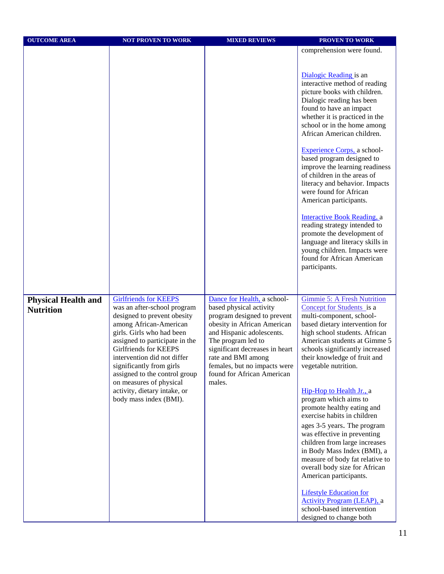| <b>OUTCOME AREA</b>                            | <b>NOT PROVEN TO WORK</b>                                                                                                                                                                                                                                                                                                                                                                     | <b>MIXED REVIEWS</b>                                                                                                                                                                                                                                                                                    | <b>PROVEN TO WORK</b>                                                                                                                                                                                                                                                                                                                                                                                                                                                                                                                                                                                                                                           |
|------------------------------------------------|-----------------------------------------------------------------------------------------------------------------------------------------------------------------------------------------------------------------------------------------------------------------------------------------------------------------------------------------------------------------------------------------------|---------------------------------------------------------------------------------------------------------------------------------------------------------------------------------------------------------------------------------------------------------------------------------------------------------|-----------------------------------------------------------------------------------------------------------------------------------------------------------------------------------------------------------------------------------------------------------------------------------------------------------------------------------------------------------------------------------------------------------------------------------------------------------------------------------------------------------------------------------------------------------------------------------------------------------------------------------------------------------------|
|                                                |                                                                                                                                                                                                                                                                                                                                                                                               |                                                                                                                                                                                                                                                                                                         | comprehension were found.                                                                                                                                                                                                                                                                                                                                                                                                                                                                                                                                                                                                                                       |
|                                                |                                                                                                                                                                                                                                                                                                                                                                                               |                                                                                                                                                                                                                                                                                                         |                                                                                                                                                                                                                                                                                                                                                                                                                                                                                                                                                                                                                                                                 |
|                                                |                                                                                                                                                                                                                                                                                                                                                                                               |                                                                                                                                                                                                                                                                                                         | Dialogic Reading is an<br>interactive method of reading<br>picture books with children.<br>Dialogic reading has been<br>found to have an impact<br>whether it is practiced in the<br>school or in the home among<br>African American children.<br>Experience Corps, a school-<br>based program designed to<br>improve the learning readiness<br>of children in the areas of<br>literacy and behavior. Impacts<br>were found for African<br>American participants.<br>Interactive Book Reading, a<br>reading strategy intended to<br>promote the development of<br>language and literacy skills in<br>young children. Impacts were<br>found for African American |
|                                                |                                                                                                                                                                                                                                                                                                                                                                                               |                                                                                                                                                                                                                                                                                                         | participants.                                                                                                                                                                                                                                                                                                                                                                                                                                                                                                                                                                                                                                                   |
|                                                |                                                                                                                                                                                                                                                                                                                                                                                               |                                                                                                                                                                                                                                                                                                         |                                                                                                                                                                                                                                                                                                                                                                                                                                                                                                                                                                                                                                                                 |
|                                                |                                                                                                                                                                                                                                                                                                                                                                                               |                                                                                                                                                                                                                                                                                                         |                                                                                                                                                                                                                                                                                                                                                                                                                                                                                                                                                                                                                                                                 |
| <b>Physical Health and</b><br><b>Nutrition</b> | <b>Girlfriends for KEEPS</b><br>was an after-school program<br>designed to prevent obesity<br>among African-American<br>girls. Girls who had been<br>assigned to participate in the<br>Girlfriends for KEEPS<br>intervention did not differ<br>significantly from girls<br>assigned to the control group<br>on measures of physical<br>activity, dietary intake, or<br>body mass index (BMI). | Dance for Health, a school-<br>based physical activity<br>program designed to prevent<br>obesity in African American<br>and Hispanic adolescents.<br>The program led to<br>significant decreases in heart<br>rate and BMI among<br>females, but no impacts were<br>found for African American<br>males. | <b>Gimmie 5: A Fresh Nutrition</b><br>Concept for Students is a<br>multi-component, school-<br>based dietary intervention for<br>high school students. African<br>American students at Gimme 5<br>schools significantly increased<br>their knowledge of fruit and<br>vegetable nutrition.<br>Hip-Hop to Health Jr., a<br>program which aims to<br>promote healthy eating and<br>exercise habits in children<br>ages 3-5 years. The program<br>was effective in preventing<br>children from large increases<br>in Body Mass Index (BMI), a<br>measure of body fat relative to<br>overall body size for African<br>American participants.                         |
|                                                |                                                                                                                                                                                                                                                                                                                                                                                               |                                                                                                                                                                                                                                                                                                         | <b>Lifestyle Education for</b><br><b>Activity Program (LEAP), a</b><br>school-based intervention<br>designed to change both                                                                                                                                                                                                                                                                                                                                                                                                                                                                                                                                     |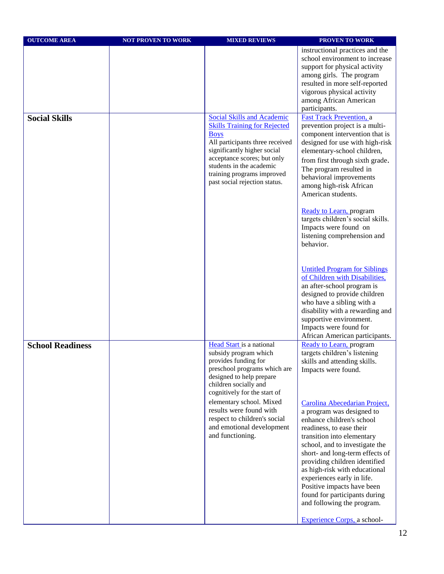| <b>OUTCOME AREA</b>     | <b>NOT PROVEN TO WORK</b> | <b>MIXED REVIEWS</b>                                                                                                                                                                                                                           | <b>PROVEN TO WORK</b>                                                                                                                                                                                                                                                                                                                                                                                               |
|-------------------------|---------------------------|------------------------------------------------------------------------------------------------------------------------------------------------------------------------------------------------------------------------------------------------|---------------------------------------------------------------------------------------------------------------------------------------------------------------------------------------------------------------------------------------------------------------------------------------------------------------------------------------------------------------------------------------------------------------------|
| <b>Social Skills</b>    |                           | <b>Social Skills and Academic</b>                                                                                                                                                                                                              | instructional practices and the<br>school environment to increase<br>support for physical activity<br>among girls. The program<br>resulted in more self-reported<br>vigorous physical activity<br>among African American<br>participants.<br><b>Fast Track Prevention, a</b>                                                                                                                                        |
|                         |                           | <b>Skills Training for Rejected</b><br><b>Boys</b><br>All participants three received<br>significantly higher social<br>acceptance scores; but only<br>students in the academic<br>training programs improved<br>past social rejection status. | prevention project is a multi-<br>component intervention that is<br>designed for use with high-risk<br>elementary-school children,<br>from first through sixth grade.<br>The program resulted in<br>behavioral improvements<br>among high-risk African<br>American students.                                                                                                                                        |
|                         |                           |                                                                                                                                                                                                                                                | <b>Ready to Learn, program</b><br>targets children's social skills.<br>Impacts were found on<br>listening comprehension and<br>behavior.                                                                                                                                                                                                                                                                            |
|                         |                           |                                                                                                                                                                                                                                                | <b>Untitled Program for Siblings</b><br>of Children with Disabilities.<br>an after-school program is<br>designed to provide children<br>who have a sibling with a<br>disability with a rewarding and<br>supportive environment.<br>Impacts were found for<br>African American participants.                                                                                                                         |
| <b>School Readiness</b> |                           | Head Start is a national<br>subsidy program which<br>provides funding for<br>preschool programs which are<br>designed to help prepare<br>children socially and<br>cognitively for the start of                                                 | <b>Ready to Learn, program</b><br>targets children's listening<br>skills and attending skills.<br>Impacts were found.                                                                                                                                                                                                                                                                                               |
|                         |                           | elementary school. Mixed<br>results were found with<br>respect to children's social<br>and emotional development<br>and functioning.                                                                                                           | Carolina Abecedarian Project,<br>a program was designed to<br>enhance children's school<br>readiness, to ease their<br>transition into elementary<br>school, and to investigate the<br>short- and long-term effects of<br>providing children identified<br>as high-risk with educational<br>experiences early in life.<br>Positive impacts have been<br>found for participants during<br>and following the program. |
|                         |                           |                                                                                                                                                                                                                                                | Experience Corps, a school-                                                                                                                                                                                                                                                                                                                                                                                         |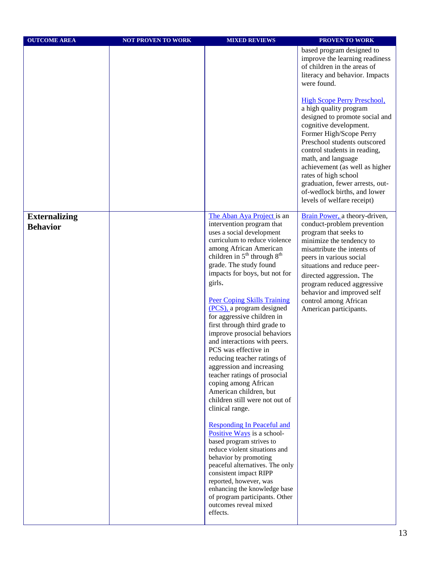| <b>OUTCOME AREA</b>                     | <b>NOT PROVEN TO WORK</b> | <b>MIXED REVIEWS</b>                                                                                                                                                                                                                                                                                                                                                                                                                                                                                                                                                                                                                                                                                                                                                                                                                                                                                                                                                                                                                      | <b>PROVEN TO WORK</b>                                                                                                                                                                                                                                                                                                                                                                                |
|-----------------------------------------|---------------------------|-------------------------------------------------------------------------------------------------------------------------------------------------------------------------------------------------------------------------------------------------------------------------------------------------------------------------------------------------------------------------------------------------------------------------------------------------------------------------------------------------------------------------------------------------------------------------------------------------------------------------------------------------------------------------------------------------------------------------------------------------------------------------------------------------------------------------------------------------------------------------------------------------------------------------------------------------------------------------------------------------------------------------------------------|------------------------------------------------------------------------------------------------------------------------------------------------------------------------------------------------------------------------------------------------------------------------------------------------------------------------------------------------------------------------------------------------------|
|                                         |                           |                                                                                                                                                                                                                                                                                                                                                                                                                                                                                                                                                                                                                                                                                                                                                                                                                                                                                                                                                                                                                                           | based program designed to<br>improve the learning readiness<br>of children in the areas of<br>literacy and behavior. Impacts<br>were found.                                                                                                                                                                                                                                                          |
|                                         |                           |                                                                                                                                                                                                                                                                                                                                                                                                                                                                                                                                                                                                                                                                                                                                                                                                                                                                                                                                                                                                                                           | <b>High Scope Perry Preschool,</b><br>a high quality program<br>designed to promote social and<br>cognitive development.<br>Former High/Scope Perry<br>Preschool students outscored<br>control students in reading,<br>math, and language<br>achievement (as well as higher<br>rates of high school<br>graduation, fewer arrests, out-<br>of-wedlock births, and lower<br>levels of welfare receipt) |
| <b>Externalizing</b><br><b>Behavior</b> |                           | The Aban Aya Project is an<br>intervention program that<br>uses a social development<br>curriculum to reduce violence<br>among African American<br>children in $5th$ through $8th$<br>grade. The study found<br>impacts for boys, but not for<br>girls.<br><b>Peer Coping Skills Training</b><br>(PCS), a program designed<br>for aggressive children in<br>first through third grade to<br>improve prosocial behaviors<br>and interactions with peers.<br>PCS was effective in<br>reducing teacher ratings of<br>aggression and increasing<br>teacher ratings of prosocial<br>coping among African<br>American children, but<br>children still were not out of<br>clinical range.<br><b>Responding In Peaceful and</b><br>Positive Ways is a school-<br>based program strives to<br>reduce violent situations and<br>behavior by promoting<br>peaceful alternatives. The only<br>consistent impact RIPP<br>reported, however, was<br>enhancing the knowledge base<br>of program participants. Other<br>outcomes reveal mixed<br>effects. | Brain Power, a theory-driven,<br>conduct-problem prevention<br>program that seeks to<br>minimize the tendency to<br>misattribute the intents of<br>peers in various social<br>situations and reduce peer-<br>directed aggression. The<br>program reduced aggressive<br>behavior and improved self<br>control among African<br>American participants.                                                 |